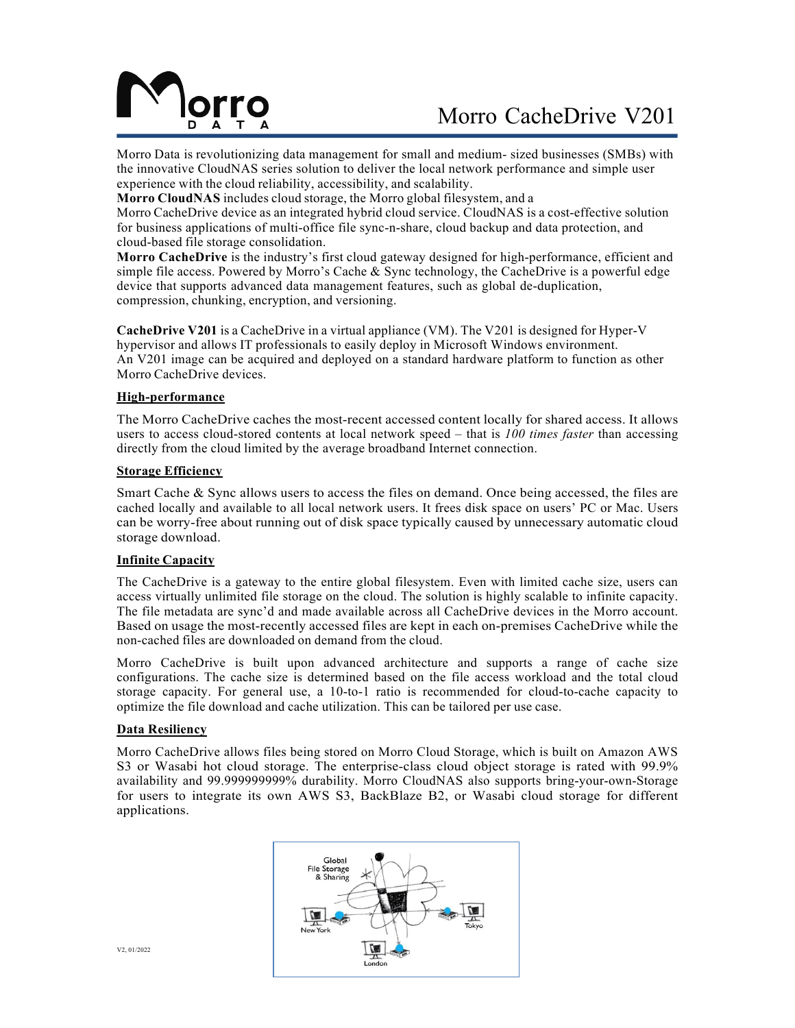

# Morro CacheDrive V201

Morro Data is revolutionizing data management for small and medium- sized businesses (SMBs) with the innovative CloudNAS series solution to deliver the local network performance and simple user experience with the cloud reliability, accessibility, and scalability.

**Morro CloudNAS** includes cloud storage, the Morro global filesystem, and a

Morro CacheDrive device as an integrated hybrid cloud service. CloudNAS is a cost-effective solution for business applications of multi-office file sync-n-share, cloud backup and data protection, and cloud-based file storage consolidation.

**Morro CacheDrive** is the industry's first cloud gateway designed for high-performance, efficient and simple file access. Powered by Morro's Cache  $\&$  Sync technology, the CacheDrive is a powerful edge device that supports advanced data management features, such as global de-duplication, compression, chunking, encryption, and versioning.

**CacheDrive V201** is a CacheDrive in a virtual appliance (VM). The V201 is designed for Hyper-V hypervisor and allows IT professionals to easily deploy in Microsoft Windows environment. An V201 image can be acquired and deployed on a standard hardware platform to function as other Morro CacheDrive devices.

# **High-performance**

The Morro CacheDrive caches the most-recent accessed content locally for shared access. It allows users to access cloud-stored contents at local network speed – that is *100 times faster* than accessing directly from the cloud limited by the average broadband Internet connection.

## **Storage Efficiency**

Smart Cache & Sync allows users to access the files on demand. Once being accessed, the files are cached locally and available to all local network users. It frees disk space on users' PC or Mac. Users can be worry-free about running out of disk space typically caused by unnecessary automatic cloud storage download.

# **Infinite Capacity**

The CacheDrive is a gateway to the entire global filesystem. Even with limited cache size, users can access virtually unlimited file storage on the cloud. The solution is highly scalable to infinite capacity. The file metadata are sync'd and made available across all CacheDrive devices in the Morro account. Based on usage the most-recently accessed files are kept in each on-premises CacheDrive while the non-cached files are downloaded on demand from the cloud.

Morro CacheDrive is built upon advanced architecture and supports a range of cache size configurations. The cache size is determined based on the file access workload and the total cloud storage capacity. For general use, a 10-to-1 ratio is recommended for cloud-to-cache capacity to optimize the file download and cache utilization. This can be tailored per use case.

#### **Data Resiliency**

Morro CacheDrive allows files being stored on Morro Cloud Storage, which is built on Amazon AWS S3 or Wasabi hot cloud storage. The enterprise-class cloud object storage is rated with 99.9% availability and 99.999999999% durability. Morro CloudNAS also supports bring-your-own-Storage for users to integrate its own AWS S3, BackBlaze B2, or Wasabi cloud storage for different applications.